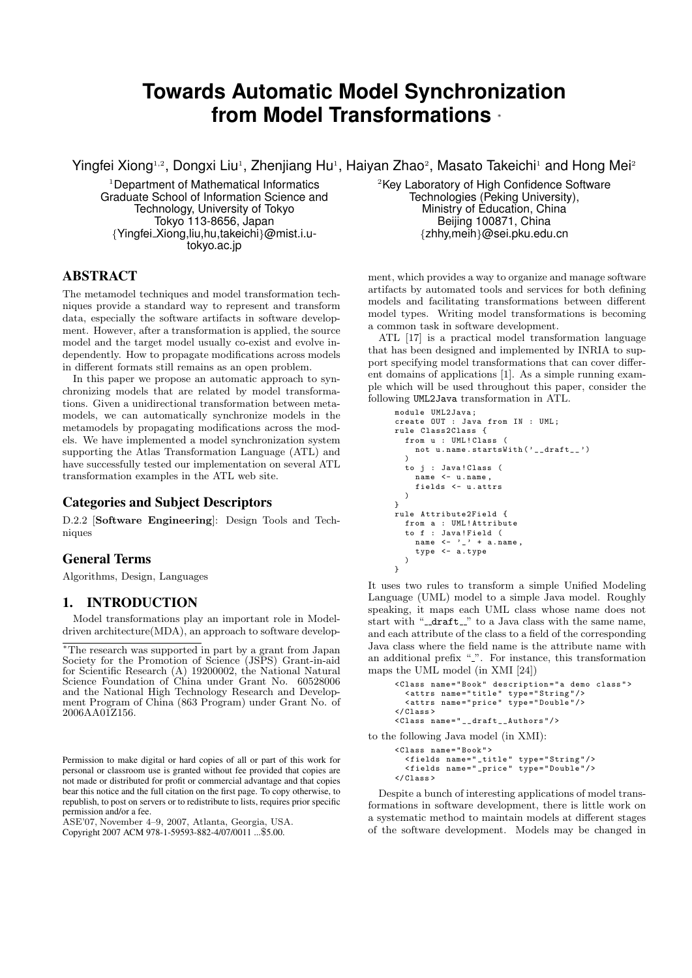# **Towards Automatic Model Synchronization from Model Transformations** <sup>∗</sup>

Yingfei Xiong<sup>1,2</sup>, Dongxi Liu<sup>1</sup>, Zhenjiang Hu<sup>1</sup>, Haiyan Zhao<sup>2</sup>, Masato Takeichi<sup>1</sup> and Hong Mei<sup>2</sup>

<sup>1</sup>Department of Mathematical Informatics Graduate School of Information Science and Technology, University of Tokyo Tokyo 113-8656, Japan {Yingfei Xiong,liu,hu,takeichi}@mist.i.utokyo.ac.jp

# ABSTRACT

The metamodel techniques and model transformation techniques provide a standard way to represent and transform data, especially the software artifacts in software development. However, after a transformation is applied, the source model and the target model usually co-exist and evolve independently. How to propagate modifications across models in different formats still remains as an open problem.

In this paper we propose an automatic approach to synchronizing models that are related by model transformations. Given a unidirectional transformation between metamodels, we can automatically synchronize models in the metamodels by propagating modifications across the models. We have implemented a model synchronization system supporting the Atlas Transformation Language (ATL) and have successfully tested our implementation on several ATL transformation examples in the ATL web site.

# Categories and Subject Descriptors

D.2.2 [Software Engineering]: Design Tools and Techniques

# General Terms

Algorithms, Design, Languages

## 1. INTRODUCTION

Model transformations play an important role in Modeldriven architecture(MDA), an approach to software develop-

ASE'07, November 4–9, 2007, Atlanta, Georgia, USA. Copyright 2007 ACM 978-1-59593-882-4/07/0011 ...\$5.00.

<sup>2</sup>Key Laboratory of High Confidence Software Technologies (Peking University), Ministry of Education, China Beijing 100871, China {zhhy,meih}@sei.pku.edu.cn

ment, which provides a way to organize and manage software artifacts by automated tools and services for both defining models and facilitating transformations between different model types. Writing model transformations is becoming a common task in software development.

ATL [17] is a practical model transformation language that has been designed and implemented by INRIA to support specifying model transformations that can cover different domains of applications [1]. As a simple running example which will be used throughout this paper, consider the following UML2Java transformation in ATL.

```
module UML2Java ;
create OUT : Java from IN : UML ;
rule Class2Class {
  from u : UML ! Class (
     not u.name.startsWith('__draft__')
   )
to j : Java ! Class (
     name <- u . name ,
     fields <- u . attrs
  )
}
rule Attribute2Field {
  from a : UML! Attribute
   to f : Java!Field (<br>name \leftarrow '-' + a.name,
     type <- a . type
  )
\mathbf{r}
```
It uses two rules to transform a simple Unified Modeling Language (UML) model to a simple Java model. Roughly speaking, it maps each UML class whose name does not start with "\_draft\_" to a Java class with the same name, and each attribute of the class to a field of the corresponding Java class where the field name is the attribute name with an additional prefix ".". For instance, this transformation maps the UML model (in XMI [24])

```
< Class name =" Book " description = "a demo class " >
   < attrs name =" title " type = " String " />
< attrs name =" price " type = " Double " />
</ Class >
< Class name =" __draft__Authors "/ >
```
to the following Java model (in XMI):

```
< Class name =" Book " >
  < fields name = " _title " type = " String " />
```

```
< fields name = " _price " type = " Double " />
\langle/\frac{C1}{2}ass >
```
Despite a bunch of interesting applications of model transformations in software development, there is little work on a systematic method to maintain models at different stages of the software development. Models may be changed in

<sup>∗</sup>The research was supported in part by a grant from Japan Society for the Promotion of Science (JSPS) Grant-in-aid for Scientific Research (A) 19200002, the National Natural Science Foundation of China under Grant No. 60528006 and the National High Technology Research and Development Program of China (863 Program) under Grant No. of 2006AA01Z156.

Permission to make digital or hard copies of all or part of this work for personal or classroom use is granted without fee provided that copies are not made or distributed for profit or commercial advantage and that copies bear this notice and the full citation on the first page. To copy otherwise, to republish, to post on servers or to redistribute to lists, requires prior specific permission and/or a fee.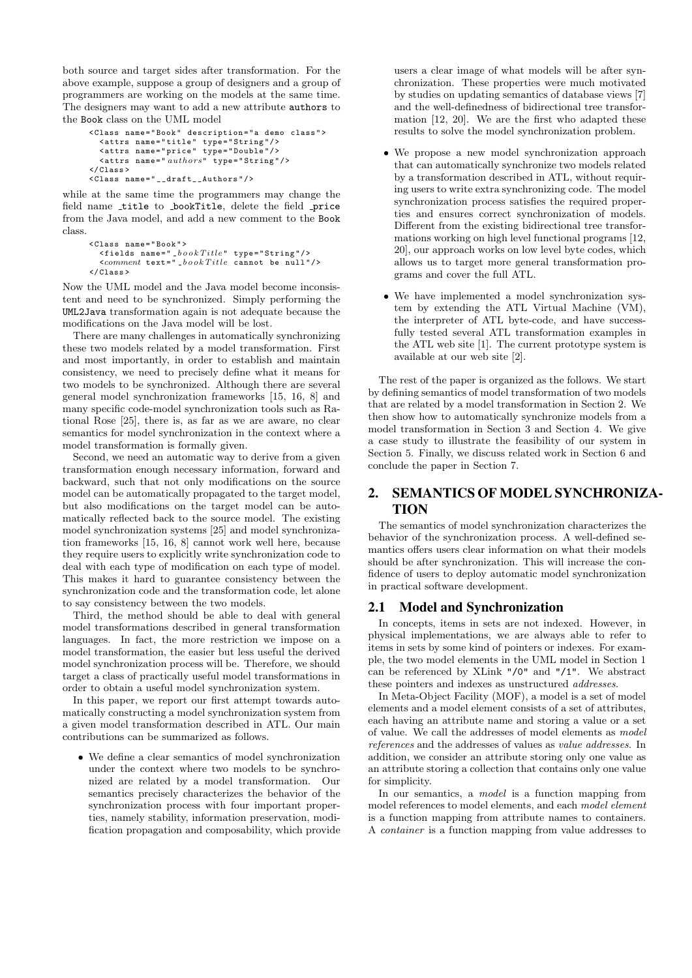both source and target sides after transformation. For the above example, suppose a group of designers and a group of programmers are working on the models at the same time. The designers may want to add a new attribute authors to the Book class on the UML model

```
< Class name =" Book " description = "a demo class " >
   < attrs name =" title " type = " String " />
   <attrs name="price" type="Double"/><br><attrs name="authors" type="String"/>
</ Class >
< Class name =" __draft__Authors "/ >
```
while at the same time the programmers may change the field name title to bookTitle, delete the field price from the Java model, and add a new comment to the Book class.

```
< Class name =" Book " >
    <fields name="_bookTitle" type="String"/><br><comment text="_bookTitle cannot be null"/>
\langle/Class >
```
Now the UML model and the Java model become inconsistent and need to be synchronized. Simply performing the UML2Java transformation again is not adequate because the modifications on the Java model will be lost.

There are many challenges in automatically synchronizing these two models related by a model transformation. First and most importantly, in order to establish and maintain consistency, we need to precisely define what it means for two models to be synchronized. Although there are several general model synchronization frameworks [15, 16, 8] and many specific code-model synchronization tools such as Rational Rose [25], there is, as far as we are aware, no clear semantics for model synchronization in the context where a model transformation is formally given.

Second, we need an automatic way to derive from a given transformation enough necessary information, forward and backward, such that not only modifications on the source model can be automatically propagated to the target model, but also modifications on the target model can be automatically reflected back to the source model. The existing model synchronization systems [25] and model synchronization frameworks [15, 16, 8] cannot work well here, because they require users to explicitly write synchronization code to deal with each type of modification on each type of model. This makes it hard to guarantee consistency between the synchronization code and the transformation code, let alone to say consistency between the two models.

Third, the method should be able to deal with general model transformations described in general transformation languages. In fact, the more restriction we impose on a model transformation, the easier but less useful the derived model synchronization process will be. Therefore, we should target a class of practically useful model transformations in order to obtain a useful model synchronization system.

In this paper, we report our first attempt towards automatically constructing a model synchronization system from a given model transformation described in ATL. Our main contributions can be summarized as follows.

• We define a clear semantics of model synchronization under the context where two models to be synchronized are related by a model transformation. Our semantics precisely characterizes the behavior of the synchronization process with four important properties, namely stability, information preservation, modification propagation and composability, which provide

users a clear image of what models will be after synchronization. These properties were much motivated by studies on updating semantics of database views [7] and the well-definedness of bidirectional tree transformation [12, 20]. We are the first who adapted these results to solve the model synchronization problem.

- We propose a new model synchronization approach that can automatically synchronize two models related by a transformation described in ATL, without requiring users to write extra synchronizing code. The model synchronization process satisfies the required properties and ensures correct synchronization of models. Different from the existing bidirectional tree transformations working on high level functional programs [12, 20], our approach works on low level byte codes, which allows us to target more general transformation programs and cover the full ATL.
- We have implemented a model synchronization system by extending the ATL Virtual Machine (VM), the interpreter of ATL byte-code, and have successfully tested several ATL transformation examples in the ATL web site [1]. The current prototype system is available at our web site [2].

The rest of the paper is organized as the follows. We start by defining semantics of model transformation of two models that are related by a model transformation in Section 2. We then show how to automatically synchronize models from a model transformation in Section 3 and Section 4. We give a case study to illustrate the feasibility of our system in Section 5. Finally, we discuss related work in Section 6 and conclude the paper in Section 7.

# 2. SEMANTICS OF MODEL SYNCHRONIZA-TION

The semantics of model synchronization characterizes the behavior of the synchronization process. A well-defined semantics offers users clear information on what their models should be after synchronization. This will increase the confidence of users to deploy automatic model synchronization in practical software development.

# 2.1 Model and Synchronization

In concepts, items in sets are not indexed. However, in physical implementations, we are always able to refer to items in sets by some kind of pointers or indexes. For example, the two model elements in the UML model in Section 1 can be referenced by XLink "/0" and "/1". We abstract these pointers and indexes as unstructured addresses.

In Meta-Object Facility (MOF), a model is a set of model elements and a model element consists of a set of attributes, each having an attribute name and storing a value or a set of value. We call the addresses of model elements as model references and the addresses of values as value addresses. In addition, we consider an attribute storing only one value as an attribute storing a collection that contains only one value for simplicity.

In our semantics, a model is a function mapping from model references to model elements, and each model element is a function mapping from attribute names to containers. A container is a function mapping from value addresses to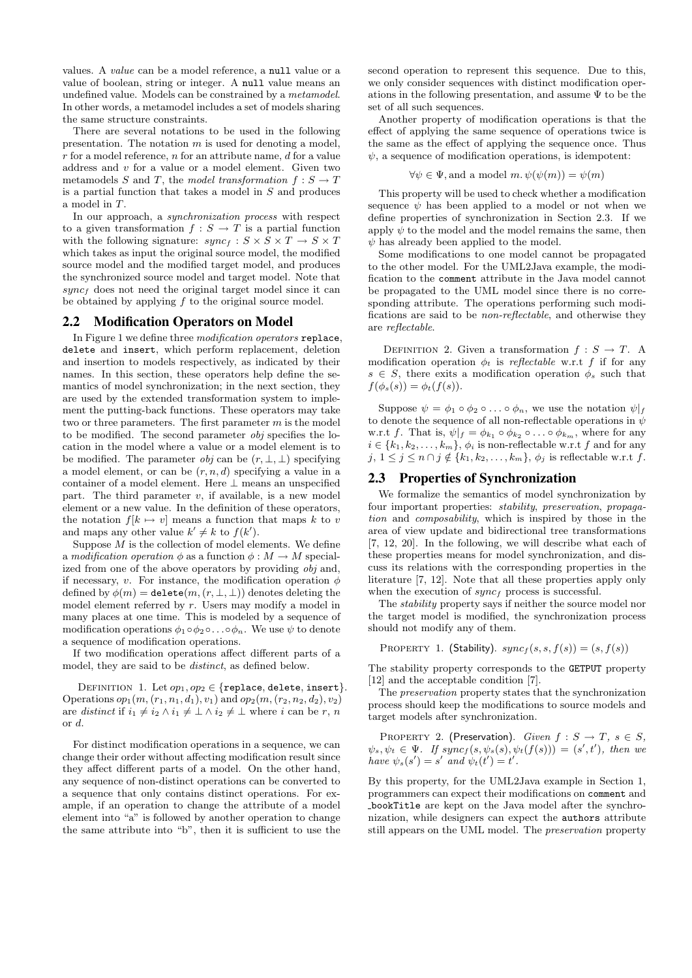values. A value can be a model reference, a null value or a value of boolean, string or integer. A null value means an undefined value. Models can be constrained by a metamodel. In other words, a metamodel includes a set of models sharing the same structure constraints.

There are several notations to be used in the following presentation. The notation  $m$  is used for denoting a model,  $r$  for a model reference,  $n$  for an attribute name,  $d$  for a value address and  $v$  for a value or a model element. Given two metamodels S and T, the model transformation  $f : S \to T$ is a partial function that takes a model in S and produces a model in T.

In our approach, a synchronization process with respect to a given transformation  $f : S \to T$  is a partial function with the following signature:  $sync_f : S \times S \times T \rightarrow S \times T$ which takes as input the original source model, the modified source model and the modified target model, and produces the synchronized source model and target model. Note that  $sync<sub>f</sub>$  does not need the original target model since it can be obtained by applying  $f$  to the original source model.

### 2.2 Modification Operators on Model

In Figure 1 we define three modification operators replace, delete and insert, which perform replacement, deletion and insertion to models respectively, as indicated by their names. In this section, these operators help define the semantics of model synchronization; in the next section, they are used by the extended transformation system to implement the putting-back functions. These operators may take two or three parameters. The first parameter  $m$  is the model to be modified. The second parameter obj specifies the location in the model where a value or a model element is to be modified. The parameter *obj* can be  $(r, \perp, \perp)$  specifying a model element, or can be  $(r, n, d)$  specifying a value in a container of a model element. Here ⊥ means an unspecified part. The third parameter  $v$ , if available, is a new model element or a new value. In the definition of these operators, the notation  $f[k \mapsto v]$  means a function that maps k to v and maps any other value  $k' \neq k$  to  $f(k')$ .

Suppose M is the collection of model elements. We define a modification operation  $\phi$  as a function  $\phi: M \to M$  specialized from one of the above operators by providing obj and, if necessary, v. For instance, the modification operation  $\phi$ defined by  $\phi(m) =$  delete $(m, (r, \perp, \perp))$  denotes deleting the model element referred by r. Users may modify a model in many places at one time. This is modeled by a sequence of modification operations  $\phi_1 \circ \phi_2 \circ \ldots \circ \phi_n$ . We use  $\psi$  to denote a sequence of modification operations.

If two modification operations affect different parts of a model, they are said to be distinct, as defined below.

DEFINITION 1. Let  $op_1, op_2 \in \{$ replace, delete, insert $\}.$ Operations  $op_1(m, (r_1, n_1, d_1), v_1)$  and  $op_2(m, (r_2, n_2, d_2), v_2)$ are distinct if  $i_1 \neq i_2 \wedge i_1 \neq \bot \wedge i_2 \neq \bot$  where i can be r, n or d.

For distinct modification operations in a sequence, we can change their order without affecting modification result since they affect different parts of a model. On the other hand, any sequence of non-distinct operations can be converted to a sequence that only contains distinct operations. For example, if an operation to change the attribute of a model element into "a" is followed by another operation to change the same attribute into "b", then it is sufficient to use the

second operation to represent this sequence. Due to this, we only consider sequences with distinct modification operations in the following presentation, and assume  $\Psi$  to be the set of all such sequences.

Another property of modification operations is that the effect of applying the same sequence of operations twice is the same as the effect of applying the sequence once. Thus  $\psi$ , a sequence of modification operations, is idempotent:

$$
\forall \psi \in \Psi
$$
, and a model  $m \cdot \psi(\psi(m)) = \psi(m)$ 

This property will be used to check whether a modification sequence  $\psi$  has been applied to a model or not when we define properties of synchronization in Section 2.3. If we apply  $\psi$  to the model and the model remains the same, then  $\psi$  has already been applied to the model.

Some modifications to one model cannot be propagated to the other model. For the UML2Java example, the modification to the comment attribute in the Java model cannot be propagated to the UML model since there is no corresponding attribute. The operations performing such modifications are said to be non-reflectable, and otherwise they are reflectable.

DEFINITION 2. Given a transformation  $f : S \to T$ . A modification operation  $\phi_t$  is reflectable w.r.t f if for any  $s \in S$ , there exits a modification operation  $\phi_s$  such that  $f(\phi_s(s)) = \phi_t(f(s)).$ 

Suppose  $\psi = \phi_1 \circ \phi_2 \circ \ldots \circ \phi_n$ , we use the notation  $\psi|_f$ to denote the sequence of all non-reflectable operations in  $\psi$ w.r.t f. That is,  $\psi|_f = \phi_{k_1} \circ \phi_{k_2} \circ \dots \circ \phi_{k_m}$ , where for any  $i \in \{k_1, k_2, \ldots, k_m\}, \phi_i$  is non-reflectable w.r.t f and for any  $j, 1 \leq j \leq n \cap j \notin \{k_1, k_2, \ldots, k_m\}, \phi_j$  is reflectable w.r.t f.

## 2.3 Properties of Synchronization

We formalize the semantics of model synchronization by four important properties: stability, preservation, propagation and composability, which is inspired by those in the area of view update and bidirectional tree transformations [7, 12, 20]. In the following, we will describe what each of these properties means for model synchronization, and discuss its relations with the corresponding properties in the literature [7, 12]. Note that all these properties apply only when the execution of  $sync<sub>f</sub>$  process is successful.

The *stability* property says if neither the source model nor the target model is modified, the synchronization process should not modify any of them.

PROPERTY 1. (Stability).  $sync<sub>f</sub>(s, s, f(s)) = (s, f(s))$ 

The stability property corresponds to the GETPUT property [12] and the acceptable condition [7].

The preservation property states that the synchronization process should keep the modifications to source models and target models after synchronization.

PROPERTY 2. (Preservation). Given  $f : S \rightarrow T$ ,  $s \in S$ ,  $\psi_s, \psi_t \in \Psi$ . If  $sync_f(s, \psi_s(s), \psi_t(f(s))) = (s', t')$ , then we have  $\psi_s(s') = s'$  and  $\psi_t(t') = t'$ .

By this property, for the UML2Java example in Section 1, programmers can expect their modifications on comment and bookTitle are kept on the Java model after the synchronization, while designers can expect the authors attribute still appears on the UML model. The preservation property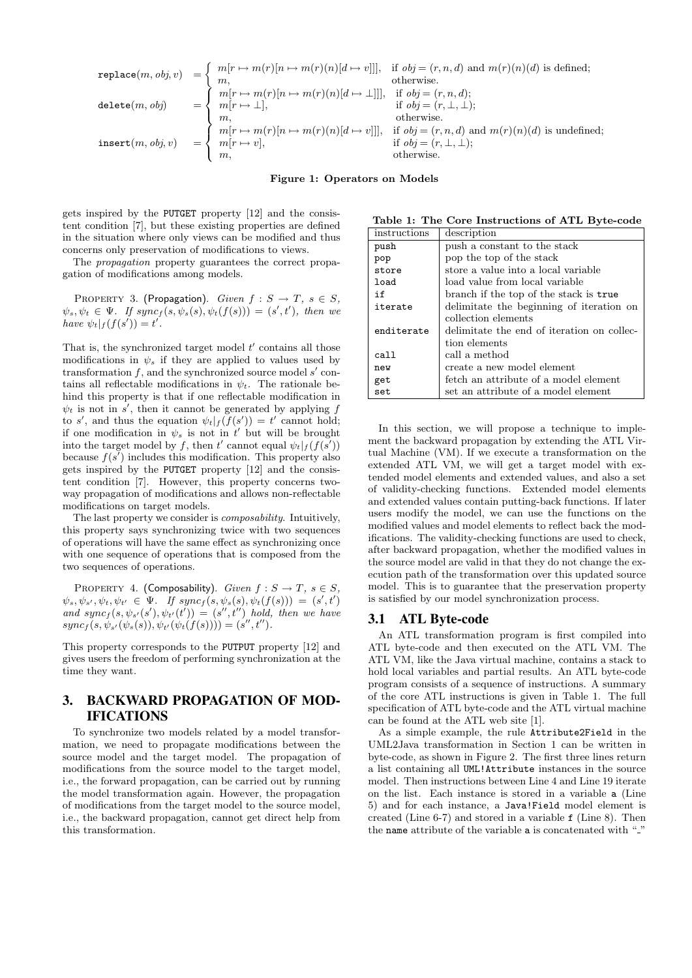$$
\begin{array}{rcl} \texttt{replace}(m,\mathit{obj},v)&=\left\{ \begin{array}{ll} m[r\mapsto m(r)[n\mapsto m(r)(n)[d\mapsto v]]], & \text{if } \mathit{obj}=(r,n,d) \text{ and } m(r)(n)(d) \text{ is defined;} \\ m, & \text{otherwise.} \end{array} \right.\\ \texttt{delete}(m,\mathit{obj})&=\left\{ \begin{array}{ll} m[r\mapsto m(r)[n\mapsto m(r)(n)[d\mapsto \bot]]], & \text{if } \mathit{obj}=(r,n,d); \\ m[r\mapsto \bot], & \text{if } \mathit{obj}=(r,\bot,\bot); \\ m, & \text{otherwise.} \end{array} \right.\\ \texttt{insert}(m,\mathit{obj},v)&=\left\{ \begin{array}{ll} m[r\mapsto m(r)[n\mapsto m(r)(n)[d\mapsto v]]], & \text{if } \mathit{obj}=(r,n,d) \text{ and } m(r)(n)(d) \text{ is undefined;} \\ m[r\mapsto v], & \text{if } \mathit{obj}=(r,\bot,\bot); \\ m, & \text{otherwise.} \end{array} \right. \end{array}
$$

#### Figure 1: Operators on Models

gets inspired by the PUTGET property [12] and the consistent condition [7], but these existing properties are defined in the situation where only views can be modified and thus concerns only preservation of modifications to views.

The propagation property guarantees the correct propagation of modifications among models.

PROPERTY 3. (Propagation). Given  $f : S \to T$ ,  $s \in S$ ,  $\psi_s, \psi_t \in \Psi$ . If  $sync_f(s, \psi_s(s), \psi_t(f(s))) = (s', t')$ , then we have  $\psi_t|_f(f(s'))=t'$ .

That is, the synchronized target model  $t'$  contains all those modifications in  $\psi_s$  if they are applied to values used by transformation  $f$ , and the synchronized source model  $s'$  contains all reflectable modifications in  $\psi_t$ . The rationale behind this property is that if one reflectable modification in  $\psi_t$  is not in s', then it cannot be generated by applying f to s', and thus the equation  $\psi_t|_f(f(s')) = t'$  cannot hold; if one modification in  $\psi_s$  is not in t' but will be brought into the target model by f, then t' cannot equal  $\psi_t|_f(f(s'))$ because  $f(s')$  includes this modification. This property also gets inspired by the PUTGET property [12] and the consistent condition [7]. However, this property concerns twoway propagation of modifications and allows non-reflectable modifications on target models.

The last property we consider is composability. Intuitively, this property says synchronizing twice with two sequences of operations will have the same effect as synchronizing once with one sequence of operations that is composed from the two sequences of operations.

PROPERTY 4. (Composability). Given  $f : S \to T$ ,  $s \in S$ ,  $\psi_s, \psi_{s'}, \psi_t, \psi_{t'} \in \Psi$ . If  $sync_f(s, \psi_s(s), \psi_t(f(s))) = (s', t')$ and sync<sub>f</sub>(s,  $\psi_{s'}(s'), \psi_{t'}(t') = (s'', t'')$  hold, then we have  $sync_f(s, \psi_{s'}(\psi_s(s)), \psi_{t'}(\psi_t(f(s)))) = (s'', t'').$ 

This property corresponds to the PUTPUT property [12] and gives users the freedom of performing synchronization at the time they want.

# 3. BACKWARD PROPAGATION OF MOD-**IFICATIONS**

To synchronize two models related by a model transformation, we need to propagate modifications between the source model and the target model. The propagation of modifications from the source model to the target model, i.e., the forward propagation, can be carried out by running the model transformation again. However, the propagation of modifications from the target model to the source model, i.e., the backward propagation, cannot get direct help from this transformation.

Table 1: The Core Instructions of ATL Byte-code

| instructions | description                                |  |
|--------------|--------------------------------------------|--|
| push         | push a constant to the stack               |  |
| pop          | pop the top of the stack                   |  |
| store        | store a value into a local variable        |  |
| load         | load value from local variable             |  |
| if           | branch if the top of the stack is true     |  |
| iterate      | delimitate the beginning of iteration on   |  |
|              | collection elements                        |  |
| enditerate   | delimitate the end of iteration on collec- |  |
|              | tion elements                              |  |
| call         | call a method                              |  |
| new          | create a new model element                 |  |
| get          | fetch an attribute of a model element      |  |
| set          | set an attribute of a model element        |  |

In this section, we will propose a technique to implement the backward propagation by extending the ATL Virtual Machine (VM). If we execute a transformation on the extended ATL VM, we will get a target model with extended model elements and extended values, and also a set of validity-checking functions. Extended model elements and extended values contain putting-back functions. If later users modify the model, we can use the functions on the modified values and model elements to reflect back the modifications. The validity-checking functions are used to check, after backward propagation, whether the modified values in the source model are valid in that they do not change the execution path of the transformation over this updated source model. This is to guarantee that the preservation property is satisfied by our model synchronization process.

## 3.1 ATL Byte-code

An ATL transformation program is first compiled into ATL byte-code and then executed on the ATL VM. The ATL VM, like the Java virtual machine, contains a stack to hold local variables and partial results. An ATL byte-code program consists of a sequence of instructions. A summary of the core ATL instructions is given in Table 1. The full specification of ATL byte-code and the ATL virtual machine can be found at the ATL web site [1].

As a simple example, the rule Attribute2Field in the UML2Java transformation in Section 1 can be written in byte-code, as shown in Figure 2. The first three lines return a list containing all UML!Attribute instances in the source model. Then instructions between Line 4 and Line 19 iterate on the list. Each instance is stored in a variable a (Line 5) and for each instance, a Java!Field model element is created (Line 6-7) and stored in a variable f (Line 8). Then the name attribute of the variable  $a$  is concatenated with " $\cdot$ "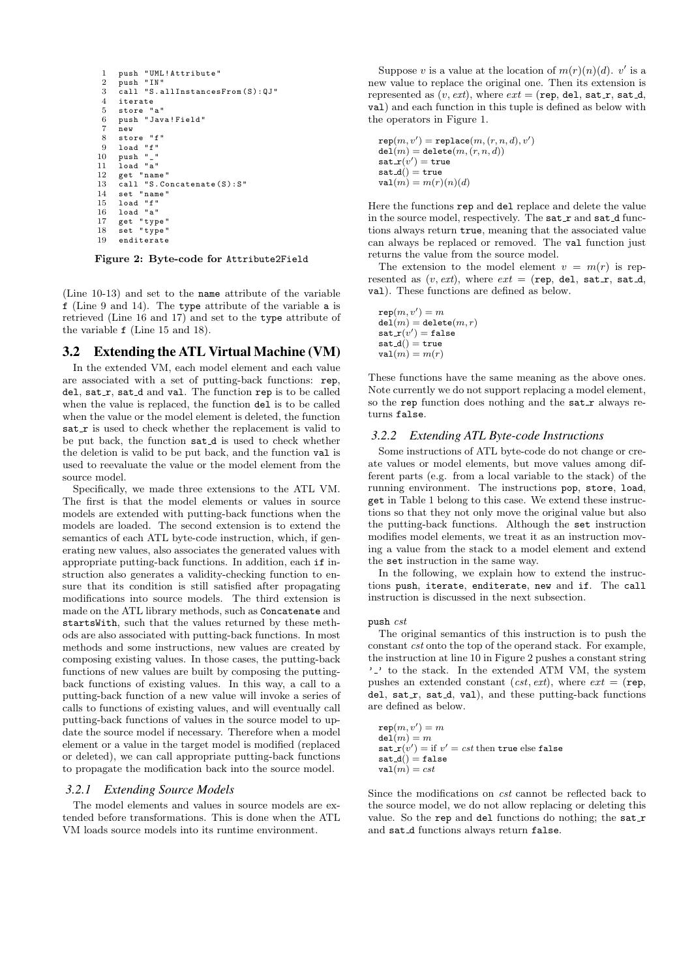```
1 push " UML ! Attribute "
 2 push "IN''<br>3 call "S.a
 2 call "S. allInstancesFrom (S): QJ"<br>4 iterate
 4 iterate<br>5 store "
 5 store "a"<br>6 nush "Jav
       push " Java ! Field"
 7 new
 8 store "f"<br>9 load "f"
9 load "f"<br>10 push "
\begin{array}{cc} 10 & \text{push} \\ 11 & \text{load} \end{array}11 \t load "a"<br>12 \t get "nam
12 get " name"<br>13 call " S Co
13 call "S. Concatenate (S): S"<br>14 set "name"
       14 - 14 set " name"
15 load "f"<br>16 load "a"
16 load "a"<br>17 get "typ
       get " type"
18 set "type"
19 enditerate
```
Figure 2: Byte-code for Attribute2Field

(Line 10-13) and set to the name attribute of the variable f (Line 9 and 14). The type attribute of the variable a is retrieved (Line 16 and 17) and set to the type attribute of the variable f (Line 15 and 18).

## 3.2 Extending the ATL Virtual Machine (VM)

In the extended VM, each model element and each value are associated with a set of putting-back functions: rep, del, sat r, sat d and val. The function rep is to be called when the value is replaced, the function del is to be called when the value or the model element is deleted, the function sat r is used to check whether the replacement is valid to be put back, the function sat d is used to check whether the deletion is valid to be put back, and the function val is used to reevaluate the value or the model element from the source model.

Specifically, we made three extensions to the ATL VM. The first is that the model elements or values in source models are extended with putting-back functions when the models are loaded. The second extension is to extend the semantics of each ATL byte-code instruction, which, if generating new values, also associates the generated values with appropriate putting-back functions. In addition, each if instruction also generates a validity-checking function to ensure that its condition is still satisfied after propagating modifications into source models. The third extension is made on the ATL library methods, such as Concatenate and startsWith, such that the values returned by these methods are also associated with putting-back functions. In most methods and some instructions, new values are created by composing existing values. In those cases, the putting-back functions of new values are built by composing the puttingback functions of existing values. In this way, a call to a putting-back function of a new value will invoke a series of calls to functions of existing values, and will eventually call putting-back functions of values in the source model to update the source model if necessary. Therefore when a model element or a value in the target model is modified (replaced or deleted), we can call appropriate putting-back functions to propagate the modification back into the source model.

#### *3.2.1 Extending Source Models*

The model elements and values in source models are extended before transformations. This is done when the ATL VM loads source models into its runtime environment.

Suppose v is a value at the location of  $m(r)(n)(d)$ . v' is a new value to replace the original one. Then its extension is represented as  $(v, ext)$ , where  $ext = (rep, del, sat_r, sat_d,$ val) and each function in this tuple is defined as below with the operators in Figure 1.

```
\mathtt{rep}(m, v') = \mathtt{replace}(m, (r, n, d), v')del(m) = detete(m, (r, n, d))\texttt{sat\_r}(v') = \texttt{true}sat_d() = trueval(m) = m(r)(n)(d)
```
Here the functions rep and del replace and delete the value in the source model, respectively. The  $sat_r$  and  $sat_d$  functions always return true, meaning that the associated value can always be replaced or removed. The val function just returns the value from the source model.

The extension to the model element  $v = m(r)$  is represented as  $(v, ext)$ , where  $ext = (rep, del, sat_r, sat_d,$ val). These functions are defined as below.

```
\mathtt{rep}(m, v') = mdel(m) = detdet(m, r)\texttt{sat\_r}(v') = \texttt{false}sat_d() = trueval(m) = m(r)
```
These functions have the same meaning as the above ones. Note currently we do not support replacing a model element, so the rep function does nothing and the sat  $r$  always returns false.

#### *3.2.2 Extending ATL Byte-code Instructions*

Some instructions of ATL byte-code do not change or create values or model elements, but move values among different parts (e.g. from a local variable to the stack) of the running environment. The instructions pop, store, load, get in Table 1 belong to this case. We extend these instructions so that they not only move the original value but also the putting-back functions. Although the set instruction modifies model elements, we treat it as an instruction moving a value from the stack to a model element and extend the set instruction in the same way.

In the following, we explain how to extend the instructions push, iterate, enditerate, new and if. The call instruction is discussed in the next subsection.

#### push  $cst$

The original semantics of this instruction is to push the constant cst onto the top of the operand stack. For example, the instruction at line 10 in Figure 2 pushes a constant string '.' to the stack. In the extended ATM VM, the system pushes an extended constant (*cst, ext*), where  $ext = (rep,$ del, sat  $r$ , sat  $d$ , val), and these putting-back functions are defined as below.

```
\mathtt{rep}(m, v') = mdel(m) = m\texttt{sat\_r}(v') = \text{if } v' = \text{cst} then true else false
sat_d() = falseval(m) = cst
```
Since the modifications on cst cannot be reflected back to the source model, we do not allow replacing or deleting this value. So the rep and del functions do nothing; the sat\_r and sat\_d functions always return false.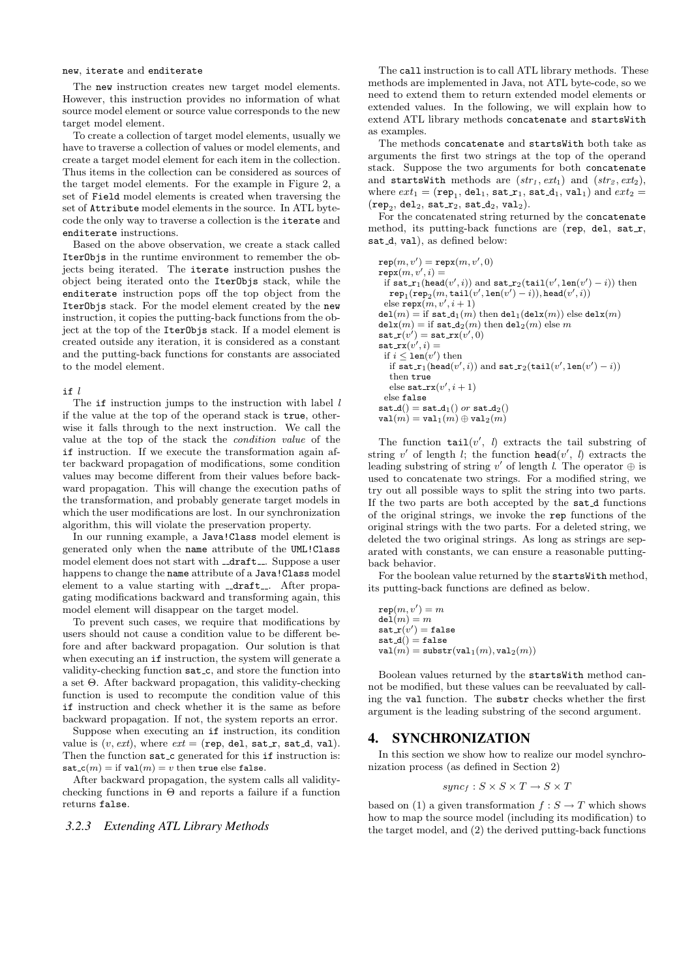#### new, iterate and enditerate

The new instruction creates new target model elements. However, this instruction provides no information of what source model element or source value corresponds to the new target model element.

To create a collection of target model elements, usually we have to traverse a collection of values or model elements, and create a target model element for each item in the collection. Thus items in the collection can be considered as sources of the target model elements. For the example in Figure 2, a set of Field model elements is created when traversing the set of Attribute model elements in the source. In ATL bytecode the only way to traverse a collection is the iterate and enditerate instructions.

Based on the above observation, we create a stack called IterObjs in the runtime environment to remember the objects being iterated. The iterate instruction pushes the object being iterated onto the IterObjs stack, while the enditerate instruction pops off the top object from the IterObjs stack. For the model element created by the new instruction, it copies the putting-back functions from the object at the top of the IterObjs stack. If a model element is created outside any iteration, it is considered as a constant and the putting-back functions for constants are associated to the model element.

#### $i \in l$

The if instruction jumps to the instruction with label  $l$ if the value at the top of the operand stack is true, otherwise it falls through to the next instruction. We call the value at the top of the stack the condition value of the if instruction. If we execute the transformation again after backward propagation of modifications, some condition values may become different from their values before backward propagation. This will change the execution paths of the transformation, and probably generate target models in which the user modifications are lost. In our synchronization algorithm, this will violate the preservation property.

In our running example, a Java!Class model element is generated only when the name attribute of the UML!Class model element does not start with \_\_draft\_\_. Suppose a user happens to change the name attribute of a Java!Class model element to a value starting with  $_{-}$ draft $_{-}$ . After propagating modifications backward and transforming again, this model element will disappear on the target model.

To prevent such cases, we require that modifications by users should not cause a condition value to be different before and after backward propagation. Our solution is that when executing an if instruction, the system will generate a validity-checking function sat<sub>-c</sub>, and store the function into a set Θ. After backward propagation, this validity-checking function is used to recompute the condition value of this if instruction and check whether it is the same as before backward propagation. If not, the system reports an error.

Suppose when executing an if instruction, its condition value is  $(v, ext)$ , where  $ext = (rep, del, sat_r, sat_d, val)$ . Then the function sat\_c generated for this if instruction is: sat<sub>-c</sub> $(m)$  = if val $(m)$  = v then true else false.

After backward propagation, the system calls all validitychecking functions in  $\Theta$  and reports a failure if a function returns false.

#### *3.2.3 Extending ATL Library Methods*

The call instruction is to call ATL library methods. These methods are implemented in Java, not ATL byte-code, so we need to extend them to return extended model elements or extended values. In the following, we will explain how to extend ATL library methods concatenate and startsWith as examples.

The methods concatenate and startsWith both take as arguments the first two strings at the top of the operand stack. Suppose the two arguments for both concatenate and startsWith methods are  $(str_1, ext_1)$  and  $(str_2, ext_2)$ , where  $ext_1 = (rep_1, del_1, sat_r1, sat_d1, val_1)$  and  $ext_2 =$  $(\mathtt{rep}_2, \mathtt{del}_2, \mathtt{sat\_r}_2, \mathtt{sat\_d}_2, \mathtt{val}_2).$ 

For the concatenated string returned by the concatenate method, its putting-back functions are (rep, del, sat  $r$ , sat\_d, val), as defined below:

```
\mathtt{rep}(m, v') = \mathtt{repx}(m, v', 0)\mathtt{repx}(m,v',i) =if \texttt{sat\_r}_1(\texttt{head}(v', i)) and \texttt{sat\_r}_2(\texttt{tail}(v', \texttt{len}(v') - i)) then
    \mathtt{rep}_1(\mathtt{rep}_2(m,\mathtt{tail}(v',\mathtt{len}(v'-i)),\mathtt{head}(v',i))else \texttt{repx}(m, v', i + 1)del(m) = if sat d_1(m) then del_1(detx(m)) else delx(m)\texttt{delay}(m) = \text{if} \ \texttt{sat.d}_2(m) \ \text{then} \ \texttt{del}_2(m) \ \text{else} \ m\texttt{sat\_r}(v') = \texttt{sat\_rx}(v', 0)\texttt{sat\_rx}(v', i) =if i \leq \text{len}(v') then
    if \texttt{satr}_1(\texttt{head}(v', i)) and \texttt{satr}_2(\texttt{tail}(v', \texttt{len}(v') - i))then true
    else sat_rx(v', i+1)else false
sat_d() = sat_d(10 or sat_d(1))val(m) = val_1(m) \oplus val_2(m)
```
The function  $\text{tail}(v', l)$  extracts the tail substring of string  $v'$  of length l; the function head(v', l) extracts the leading substring of string v' of length l. The operator  $\oplus$  is used to concatenate two strings. For a modified string, we try out all possible ways to split the string into two parts. If the two parts are both accepted by the sat\_d functions of the original strings, we invoke the rep functions of the original strings with the two parts. For a deleted string, we deleted the two original strings. As long as strings are separated with constants, we can ensure a reasonable puttingback behavior.

For the boolean value returned by the startsWith method, its putting-back functions are defined as below.

```
\mathtt{rep}(m, v') = mdel(m) = m\texttt{sat}\_\mathbf{r}(v')=\texttt{false}sat_d() = falseval(m) = substr,val_1(m), val_2(m))
```
Boolean values returned by the startsWith method cannot be modified, but these values can be reevaluated by calling the val function. The substr checks whether the first argument is the leading substring of the second argument.

## 4. SYNCHRONIZATION

In this section we show how to realize our model synchronization process (as defined in Section 2)

$$
sync_f : S \times S \times T \to S \times T
$$

based on (1) a given transformation  $f : S \to T$  which shows how to map the source model (including its modification) to the target model, and (2) the derived putting-back functions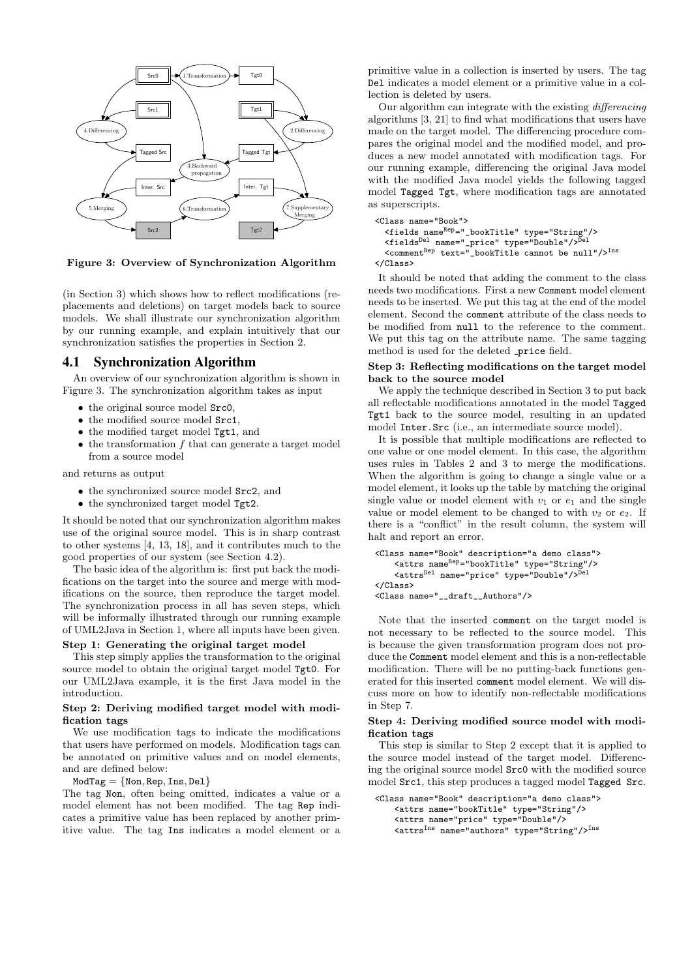

Figure 3: Overview of Synchronization Algorithm

(in Section 3) which shows how to reflect modifications (replacements and deletions) on target models back to source models. We shall illustrate our synchronization algorithm by our running example, and explain intuitively that our synchronization satisfies the properties in Section 2.

## 4.1 Synchronization Algorithm

An overview of our synchronization algorithm is shown in Figure 3. The synchronization algorithm takes as input

- the original source model Src0,
- the modified source model Src1,
- the modified target model Tgt1, and
- $\bullet\,$  the transformation  $f$  that can generate a target model from a source model

and returns as output

- the synchronized source model Src2, and
- the synchronized target model Tgt2.

It should be noted that our synchronization algorithm makes use of the original source model. This is in sharp contrast to other systems [4, 13, 18], and it contributes much to the good properties of our system (see Section 4.2).

The basic idea of the algorithm is: first put back the modifications on the target into the source and merge with modifications on the source, then reproduce the target model. The synchronization process in all has seven steps, which will be informally illustrated through our running example of UML2Java in Section 1, where all inputs have been given.

#### Step 1: Generating the original target model

This step simply applies the transformation to the original source model to obtain the original target model Tgt0. For our UML2Java example, it is the first Java model in the introduction.

#### Step 2: Deriving modified target model with modification tags

We use modification tags to indicate the modifications that users have performed on models. Modification tags can be annotated on primitive values and on model elements, and are defined below:

 $ModTag = \{Non, Rep, Ins, Del\}$ 

The tag Non, often being omitted, indicates a value or a model element has not been modified. The tag Rep indicates a primitive value has been replaced by another primitive value. The tag Ins indicates a model element or a

primitive value in a collection is inserted by users. The tag Del indicates a model element or a primitive value in a collection is deleted by users.

Our algorithm can integrate with the existing differencing algorithms [3, 21] to find what modifications that users have made on the target model. The differencing procedure compares the original model and the modified model, and produces a new model annotated with modification tags. For our running example, differencing the original Java model with the modified Java model yields the following tagged model Tagged Tgt, where modification tags are annotated as superscripts.

```
<Class name="Book">
  <fields nameRep="_bookTitle" type="String"/>
  <fields<sup>Del</sup> name="_price" type="Double"/><sup>Del</sup>
  <commentRep text="_bookTitle cannot be null"/>Ins
</Class>
```
It should be noted that adding the comment to the class needs two modifications. First a new Comment model element needs to be inserted. We put this tag at the end of the model element. Second the comment attribute of the class needs to be modified from null to the reference to the comment. We put this tag on the attribute name. The same tagging method is used for the deleted price field.

## Step 3: Reflecting modifications on the target model back to the source model

We apply the technique described in Section 3 to put back all reflectable modifications annotated in the model Tagged Tgt1 back to the source model, resulting in an updated model Inter.Src (i.e., an intermediate source model).

It is possible that multiple modifications are reflected to one value or one model element. In this case, the algorithm uses rules in Tables 2 and 3 to merge the modifications. When the algorithm is going to change a single value or a model element, it looks up the table by matching the original single value or model element with  $v_1$  or  $e_1$  and the single value or model element to be changed to with  $v_2$  or  $e_2$ . If there is a "conflict" in the result column, the system will halt and report an error.

```
<Class name="Book" description="a demo class">
    <attrs nameRep="bookTitle" type="String"/>
    <attrs<sup>Del</sup> name="price" type="Double"/>Del
</Class>
<Class name="__draft__Authors"/>
```
Note that the inserted comment on the target model is not necessary to be reflected to the source model. This is because the given transformation program does not produce the Comment model element and this is a non-reflectable modification. There will be no putting-back functions generated for this inserted comment model element. We will discuss more on how to identify non-reflectable modifications in Step 7.

### Step 4: Deriving modified source model with modification tags

This step is similar to Step 2 except that it is applied to the source model instead of the target model. Differencing the original source model Src0 with the modified source model Src1, this step produces a tagged model Tagged Src.

```
<Class name="Book" description="a demo class">
    <attrs name="bookTitle" type="String"/>
    <attrs name="price" type="Double"/>
    <attrs<sup>Ins</sup> name="authors" type="String"/>Ins</sup>
```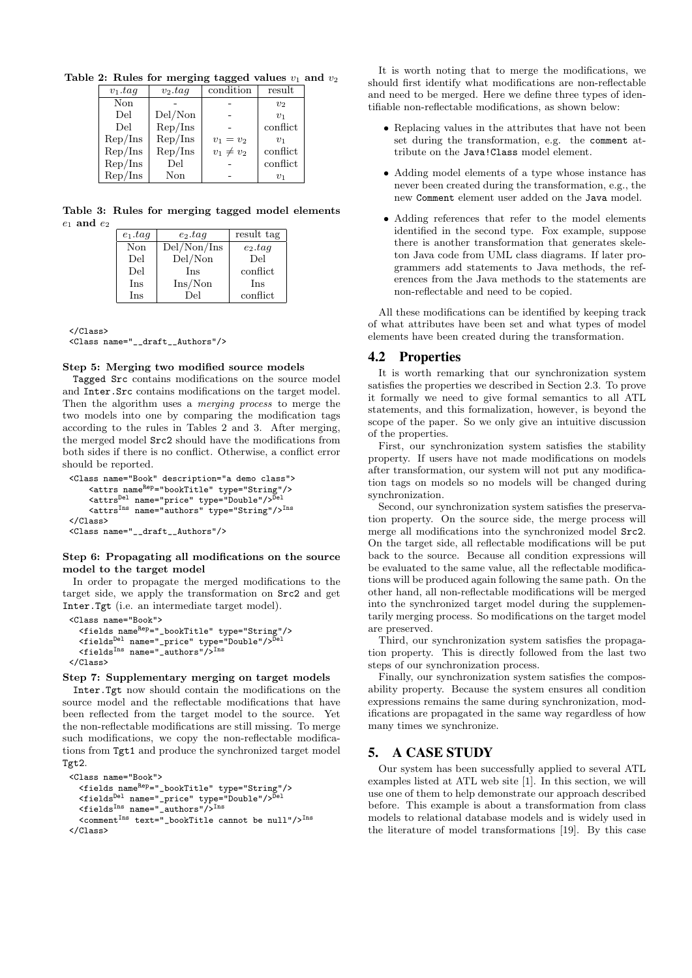Table 2: Rules for merging tagged values  $v_1$  and  $v_2$ 

| $v_1.taq$                   | $v_2.taq$                   | condition      | result         |
|-----------------------------|-----------------------------|----------------|----------------|
| Non                         |                             |                | v <sub>2</sub> |
| Del                         | Del/Non                     |                | v <sub>1</sub> |
| Del                         | $\mathrm{Rep}/\mathrm{Ins}$ |                | conflict       |
| $\rm Rep/Ins$               | $\mathrm{Rep}/\mathrm{Ins}$ | $v_1 = v_2$    | v <sub>1</sub> |
| $\text{Rep}/\text{Ins}$     | $\mathrm{Rep}/\mathrm{Ins}$ | $v_1 \neq v_2$ | conflict       |
| $\mathrm{Rep}/\mathrm{Ins}$ | Del                         |                | conflict       |
| $\text{Rep}/\text{Ins}$     | Non                         |                | $v_1$          |

Table 3: Rules for merging tagged model elements  $e_1$  and  $e_2$ 

| $e_1.taq$ | $e_2.taq$   | result tag |
|-----------|-------------|------------|
| Non       | Del/Non/Ins | $e_2.taq$  |
| Del       | Del/Non     | Del        |
| Del       | Ins         | conflict   |
| Ins       | Ins/Non     | Ins        |
| Ins       | Del         | conflict   |

</Class>

<Class name="\_\_draft\_\_Authors"/>

#### Step 5: Merging two modified source models

Tagged Src contains modifications on the source model and Inter.Src contains modifications on the target model. Then the algorithm uses a *merging process* to merge the two models into one by comparing the modification tags according to the rules in Tables 2 and 3. After merging, the merged model Src2 should have the modifications from both sides if there is no conflict. Otherwise, a conflict error should be reported.

```
<Class name="Book" description="a demo class">
    <attrs nameRep="bookTitle" type="String"/>
    <attrsDel name="price" type="Double"/>Del
    <attrsIns name="authors" type="String"/>Ins
</Class>
<Class name="__draft__Authors"/>
```
#### Step 6: Propagating all modifications on the source model to the target model

In order to propagate the merged modifications to the target side, we apply the transformation on Src2 and get Inter.Tgt (i.e. an intermediate target model).

```
<Class name="Book">
  <fields nameRep="_bookTitle" type="String"/>
  <fields<sup>Del</sup> name="_price" type="Double"/>Del
  \leqfields<sup>Ins</sup> name="_authors"/><sup>Ins</sup>
</Class>
```
## Step 7: Supplementary merging on target models

Inter.Tgt now should contain the modifications on the source model and the reflectable modifications that have been reflected from the target model to the source. Yet the non-reflectable modifications are still missing. To merge such modifications, we copy the non-reflectable modifications from Tgt1 and produce the synchronized target model Tgt2.

```
<Class name="Book">
     <fields nameRep="_bookTitle" type="String"/>
     <fieldsDel name="_price" type="Double"/>Del
     \text{Y} \text{Y} \text{Y} \text{Y} \text{Y} \text{Y} \text{Y} \text{Y} \text{Y} \text{Y} \text{Y} \text{Y} \text{Y} \text{Y} \text{Y} \text{Y} \text{Y} \text{Y} \text{Y} \text{Y} \text{Y} \text{Y} \text{Y} \text{Y} \text{Y} \text{Y} \text{Y} \text{Y\frac{1}{\text{moment}} \frac{1}{\text{first}} \frac{1}{\text{first}} \frac{1}{\text{constant}} \frac{1}{\text{constant}} \frac{1}{\text{first}} \frac{1}{\text{constant}} \frac{1}{\text{first}}</Class>
```
It is worth noting that to merge the modifications, we should first identify what modifications are non-reflectable and need to be merged. Here we define three types of identifiable non-reflectable modifications, as shown below:

- Replacing values in the attributes that have not been set during the transformation, e.g. the comment attribute on the Java!Class model element.
- Adding model elements of a type whose instance has never been created during the transformation, e.g., the new Comment element user added on the Java model.
- Adding references that refer to the model elements identified in the second type. Fox example, suppose there is another transformation that generates skeleton Java code from UML class diagrams. If later programmers add statements to Java methods, the references from the Java methods to the statements are non-reflectable and need to be copied.

All these modifications can be identified by keeping track of what attributes have been set and what types of model elements have been created during the transformation.

## 4.2 Properties

It is worth remarking that our synchronization system satisfies the properties we described in Section 2.3. To prove it formally we need to give formal semantics to all ATL statements, and this formalization, however, is beyond the scope of the paper. So we only give an intuitive discussion of the properties.

First, our synchronization system satisfies the stability property. If users have not made modifications on models after transformation, our system will not put any modification tags on models so no models will be changed during synchronization.

Second, our synchronization system satisfies the preservation property. On the source side, the merge process will merge all modifications into the synchronized model Src2. On the target side, all reflectable modifications will be put back to the source. Because all condition expressions will be evaluated to the same value, all the reflectable modifications will be produced again following the same path. On the other hand, all non-reflectable modifications will be merged into the synchronized target model during the supplementarily merging process. So modifications on the target model are preserved.

Third, our synchronization system satisfies the propagation property. This is directly followed from the last two steps of our synchronization process.

Finally, our synchronization system satisfies the composability property. Because the system ensures all condition expressions remains the same during synchronization, modifications are propagated in the same way regardless of how many times we synchronize.

# 5. A CASE STUDY

Our system has been successfully applied to several ATL examples listed at ATL web site [1]. In this section, we will use one of them to help demonstrate our approach described before. This example is about a transformation from class models to relational database models and is widely used in the literature of model transformations [19]. By this case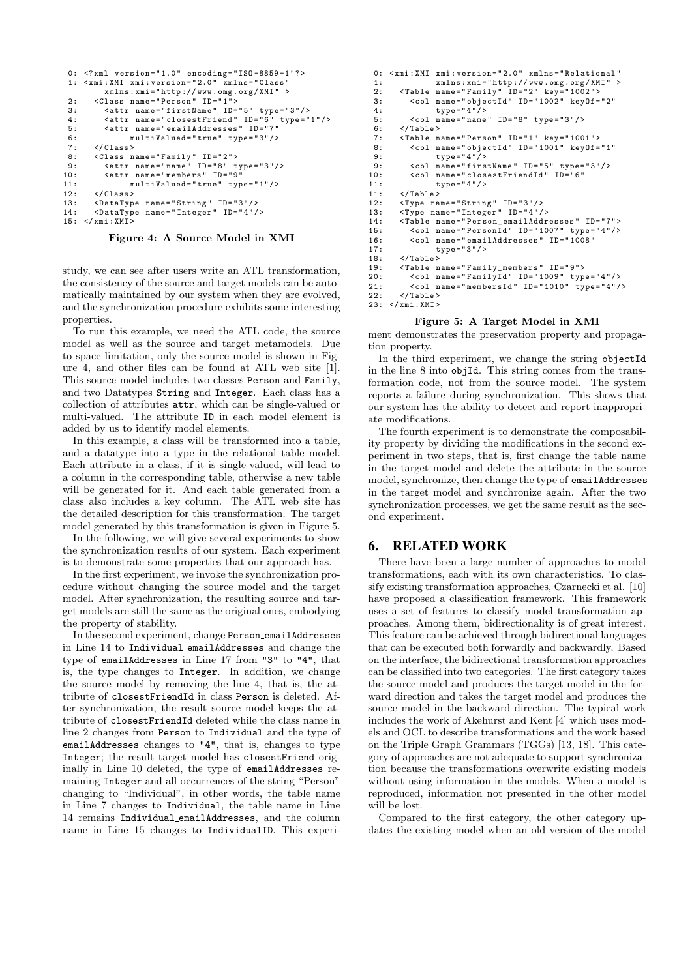```
0: <? xml version = "1.0" encoding = "ISO-8859-1"?>
 1: < xmi : XMI xmi : version =" 2.0 " xmlns =" Class "
              xmlns : xmi = " http :// www . omg . org / XMI " >
 2: <Class name="Person" ID="1"><br>3: <attr name="firstName" ID=
 3: < attr name =" firstName " ID = "5 " type =" 3" />
  4: < attr name =" closestFriend " ID = "6 " type =" 1" />
5: < attr name =" emailAddresses " ID =" 7"
 6: multiValued="true" type="3"/><br>7: </Class>
 7: </ Class >
  8:     <Class  name="Family"  ID="2"><br>9:         <attr  name="name"  ID="8"  type="3"/>
10: <attr name="members" ID="9"<br>11: multiValued="true" tvr
11: \text{multiValued} = \text{"true"} \text{ type} = \text{"1"}\langle/Class >
13: < DataType name="String" ID="3"/>
14: <br />
<br />
<br />
<br />
<br />
<br />
<br />
Land Contract Contract Contract Contract Contract Contract Contract Contract Contract Contract Contract Contract Contract Contract Contract Contract Contract Contract Co
15: </ xmi : XMI >
```
#### Figure 4: A Source Model in XMI

study, we can see after users write an ATL transformation, the consistency of the source and target models can be automatically maintained by our system when they are evolved, and the synchronization procedure exhibits some interesting properties.

To run this example, we need the ATL code, the source model as well as the source and target metamodels. Due to space limitation, only the source model is shown in Figure 4, and other files can be found at ATL web site [1]. This source model includes two classes Person and Family, and two Datatypes String and Integer. Each class has a collection of attributes attr, which can be single-valued or multi-valued. The attribute ID in each model element is added by us to identify model elements.

In this example, a class will be transformed into a table, and a datatype into a type in the relational table model. Each attribute in a class, if it is single-valued, will lead to a column in the corresponding table, otherwise a new table will be generated for it. And each table generated from a class also includes a key column. The ATL web site has the detailed description for this transformation. The target model generated by this transformation is given in Figure 5.

In the following, we will give several experiments to show the synchronization results of our system. Each experiment is to demonstrate some properties that our approach has.

In the first experiment, we invoke the synchronization procedure without changing the source model and the target model. After synchronization, the resulting source and target models are still the same as the original ones, embodying the property of stability.

In the second experiment, change Person emailAddresses in Line 14 to Individual emailAddresses and change the type of emailAddresses in Line 17 from "3" to "4", that is, the type changes to Integer. In addition, we change the source model by removing the line 4, that is, the attribute of closestFriendId in class Person is deleted. After synchronization, the result source model keeps the attribute of closestFriendId deleted while the class name in line 2 changes from Person to Individual and the type of emailAddresses changes to "4", that is, changes to type Integer; the result target model has closestFriend originally in Line 10 deleted, the type of emailAddresses remaining Integer and all occurrences of the string "Person" changing to "Individual", in other words, the table name in Line 7 changes to Individual, the table name in Line 14 remains Individual emailAddresses, and the column name in Line 15 changes to IndividualID. This experi-

```
0: < xmi : XMI xmi : version =" 2.0 " xmlns =" Relational "
 01<br>1: xmlns:xmi="http://www.omg.org/XMI" ><br>2: <Table name="Family" ID="2" key="1002">
 2: <Table name="Family"<br>3: <col name="obiectI
 3: \langle \text{col name} = " \text{objectId" ID} = "1002" \text{keyOf} = "2"<br>4: \text{type} = "4" / \rangle4: type = "4" / >5: < col name = " name " ID = "8 " type =" 3" />
 6: \times / \text{Table}7: <Table name="Person" ID="1" key="1001"><br>8: <col name="objectId" ID="1001" keyOf=
 8: < col name = " objectId " ID = " 1001 " keyOf =" 1"
 9: \times type="4"/><br>9. \times col name="firs
end<br>
9: Col name="firstName" ID="5" type="3"/><br>
9: Col name="closestFriendId" ID="6"
10: < col name="closestFriendId" ID="6"<br>11: type="4"/>
11: \times type="4" />
         \langle/Table >
12: <Type name="String" ID="3"/><br>13: <Type name="Integer" ID="4"/>
14: < Table name =" Person_emailAddresses " ID = "7 " >
15: < col name =" PersonId " ID =" 1007 " type =" 4" />
16: <col name="emailAddresses" ID="1008"<br>17: type="3"/>
                    type = "3" / >18: </Table><br>19: <Table na
19: <Table name="Family_members" ID="9"><br>20: <col name="FamilyId" ID="1009" typ
20: \lecol name="FamilyTd" ID="1009" type="4"/><br>21: \lecol name="membersId" ID="1010" type="4"/
21: <col name="membersId" ID="1010" type="4"/><br>22: </Table>
         \langle/Table >
23: </ xmi : XMI >
```
#### Figure 5: A Target Model in XMI

ment demonstrates the preservation property and propagation property.

In the third experiment, we change the string objectId in the line 8 into objId. This string comes from the transformation code, not from the source model. The system reports a failure during synchronization. This shows that our system has the ability to detect and report inappropriate modifications.

The fourth experiment is to demonstrate the composability property by dividing the modifications in the second experiment in two steps, that is, first change the table name in the target model and delete the attribute in the source model, synchronize, then change the type of emailAddresses in the target model and synchronize again. After the two synchronization processes, we get the same result as the second experiment.

## 6. RELATED WORK

There have been a large number of approaches to model transformations, each with its own characteristics. To classify existing transformation approaches, Czarnecki et al. [10] have proposed a classification framework. This framework uses a set of features to classify model transformation approaches. Among them, bidirectionality is of great interest. This feature can be achieved through bidirectional languages that can be executed both forwardly and backwardly. Based on the interface, the bidirectional transformation approaches can be classified into two categories. The first category takes the source model and produces the target model in the forward direction and takes the target model and produces the source model in the backward direction. The typical work includes the work of Akehurst and Kent [4] which uses models and OCL to describe transformations and the work based on the Triple Graph Grammars (TGGs) [13, 18]. This category of approaches are not adequate to support synchronization because the transformations overwrite existing models without using information in the models. When a model is reproduced, information not presented in the other model will be lost.

Compared to the first category, the other category updates the existing model when an old version of the model